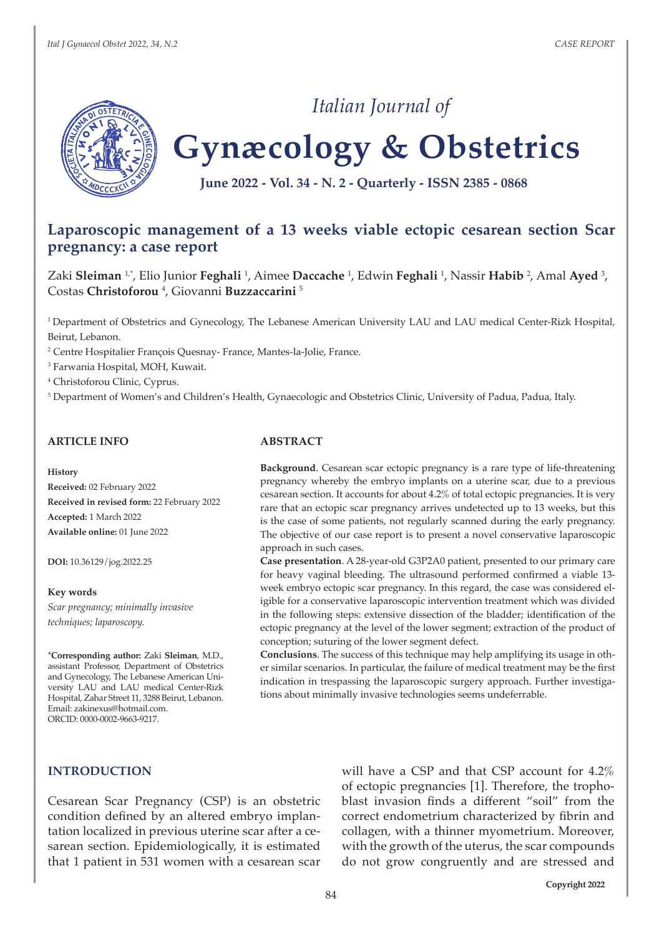

## *Italian Journal of*

# **Gynæcology & Obstetrics**

**June 2022 - Vol. 34 - N. 2 - Quarterly - ISSN 2385 - 0868**

### **Laparoscopic management of a 13 weeks viable ectopic cesarean section Scar pregnancy: a case report**

Zaki **Sleiman** 1,\*, Elio Junior **Feghali** <sup>1</sup> , Aimee **Daccache** <sup>1</sup> , Edwin **Feghali** <sup>1</sup> , Nassir **Habib** <sup>2</sup> , Amal **Ayed** <sup>3</sup> , Costas **Christoforou** <sup>4</sup> , Giovanni **Buzzaccarini** <sup>5</sup>

<sup>1</sup>Department of Obstetrics and Gynecology, The Lebanese American University LAU and LAU medical Center-Rizk Hospital, Beirut, Lebanon.

2 Centre Hospitalier François Quesnay- France, Mantes-la-Jolie, France.

3 Farwania Hospital, MOH, Kuwait.

4 Christoforou Clinic, Cyprus.

5 Department of Women's and Children's Health, Gynaecologic and Obstetrics Clinic, University of Padua, Padua, Italy.

#### **ARTICLE INFO**

#### **History**

**Received:** 02 February 2022 **Received in revised form:** 22 February 2022 **Accepted:** 1 March 2022 **Available online:** 01 June 2022

**DOI:** 10.36129/jog.2022.25

#### **Key words**

*Scar pregnancy; minimally invasive techniques; laparoscopy.*

\***Corresponding author:** Zaki **Sleiman**, M.D., assistant Professor, Department of Obstetrics and Gynecology, The Lebanese American University LAU and LAU medical Center-Rizk Hospital, Zahar Street 11, 3288 Beirut, Lebanon. Email: zakinexus@hotmail.com. ORCID: 0000-0002-9663-9217.

#### **ABSTRACT**

**Background**. Cesarean scar ectopic pregnancy is a rare type of life-threatening pregnancy whereby the embryo implants on a uterine scar, due to a previous cesarean section. It accounts for about 4.2% of total ectopic pregnancies. It is very rare that an ectopic scar pregnancy arrives undetected up to 13 weeks, but this is the case of some patients, not regularly scanned during the early pregnancy. The objective of our case report is to present a novel conservative laparoscopic approach in such cases.

**Case presentation**. A 28-year-old G3P2A0 patient, presented to our primary care for heavy vaginal bleeding. The ultrasound performed confirmed a viable 13 week embryo ectopic scar pregnancy. In this regard, the case was considered eligible for a conservative laparoscopic intervention treatment which was divided in the following steps: extensive dissection of the bladder; identification of the ectopic pregnancy at the level of the lower segment; extraction of the product of conception; suturing of the lower segment defect.

**Conclusions**. The success of this technique may help amplifying its usage in other similar scenarios. In particular, the failure of medical treatment may be the first indication in trespassing the laparoscopic surgery approach. Further investigations about minimally invasive technologies seems undeferrable.

#### **INTRODUCTION**

Cesarean Scar Pregnancy (CSP) is an obstetric condition defined by an altered embryo implantation localized in previous uterine scar after a cesarean section. Epidemiologically, it is estimated that 1 patient in 531 women with a cesarean scar will have a CSP and that CSP account for 4.2% of ectopic pregnancies [1]. Therefore, the trophoblast invasion finds a different "soil" from the correct endometrium characterized by fibrin and collagen, with a thinner myometrium. Moreover, with the growth of the uterus, the scar compounds do not grow congruently and are stressed and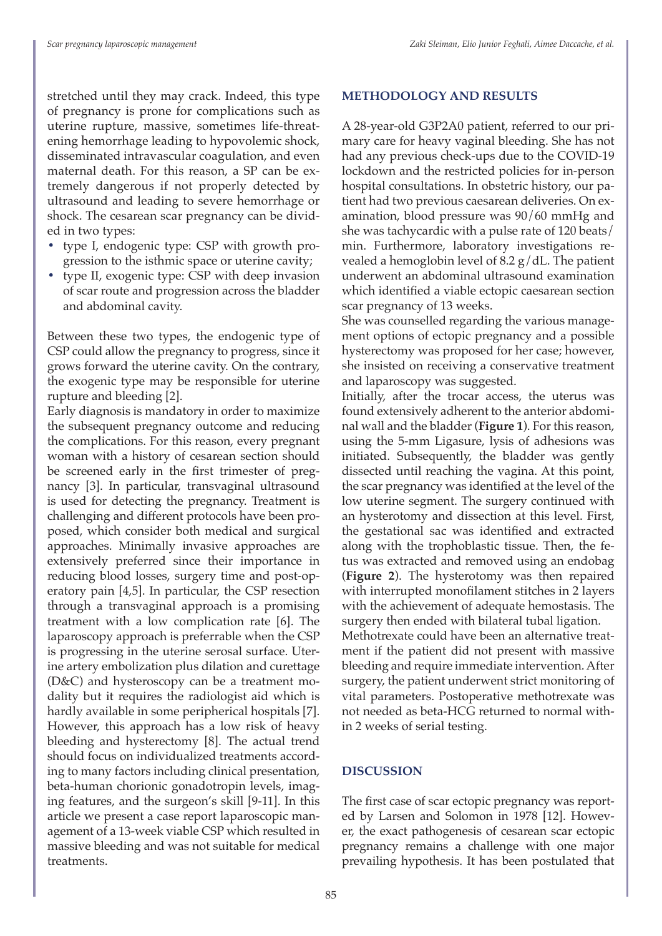stretched until they may crack. Indeed, this type of pregnancy is prone for complications such as uterine rupture, massive, sometimes life-threatening hemorrhage leading to hypovolemic shock, disseminated intravascular coagulation, and even maternal death. For this reason, a SP can be extremely dangerous if not properly detected by ultrasound and leading to severe hemorrhage or shock. The cesarean scar pregnancy can be divided in two types:

- **•** type I, endogenic type: CSP with growth progression to the isthmic space or uterine cavity;
- **•** type II, exogenic type: CSP with deep invasion of scar route and progression across the bladder and abdominal cavity.

Between these two types, the endogenic type of CSP could allow the pregnancy to progress, since it grows forward the uterine cavity. On the contrary, the exogenic type may be responsible for uterine rupture and bleeding [2].

Early diagnosis is mandatory in order to maximize the subsequent pregnancy outcome and reducing the complications. For this reason, every pregnant woman with a history of cesarean section should be screened early in the first trimester of pregnancy [3]. In particular, transvaginal ultrasound is used for detecting the pregnancy. Treatment is challenging and different protocols have been proposed, which consider both medical and surgical approaches. Minimally invasive approaches are extensively preferred since their importance in reducing blood losses, surgery time and post-operatory pain [4,5]. In particular, the CSP resection through a transvaginal approach is a promising treatment with a low complication rate [6]. The laparoscopy approach is preferrable when the CSP is progressing in the uterine serosal surface. Uterine artery embolization plus dilation and curettage (D&C) and hysteroscopy can be a treatment modality but it requires the radiologist aid which is hardly available in some peripherical hospitals [7]. However, this approach has a low risk of heavy bleeding and hysterectomy [8]. The actual trend should focus on individualized treatments according to many factors including clinical presentation, beta-human chorionic gonadotropin levels, imaging features, and the surgeon's skill [9-11]. In this article we present a case report laparoscopic management of a 13-week viable CSP which resulted in massive bleeding and was not suitable for medical treatments.

#### **METHODOLOGY AND RESULTS**

A 28-year-old G3P2A0 patient, referred to our primary care for heavy vaginal bleeding. She has not had any previous check-ups due to the COVID-19 lockdown and the restricted policies for in-person hospital consultations. In obstetric history, our patient had two previous caesarean deliveries. On examination, blood pressure was 90/60 mmHg and she was tachycardic with a pulse rate of 120 beats/ min. Furthermore, laboratory investigations revealed a hemoglobin level of 8.2  $g/dL$ . The patient underwent an abdominal ultrasound examination which identified a viable ectopic caesarean section scar pregnancy of 13 weeks.

She was counselled regarding the various management options of ectopic pregnancy and a possible hysterectomy was proposed for her case; however, she insisted on receiving a conservative treatment and laparoscopy was suggested.

Initially, after the trocar access, the uterus was found extensively adherent to the anterior abdominal wall and the bladder (**Figure 1**). For this reason, using the 5-mm Ligasure, lysis of adhesions was initiated. Subsequently, the bladder was gently dissected until reaching the vagina. At this point, the scar pregnancy was identified at the level of the low uterine segment. The surgery continued with an hysterotomy and dissection at this level. First, the gestational sac was identified and extracted along with the trophoblastic tissue. Then, the fetus was extracted and removed using an endobag (**Figure 2**). The hysterotomy was then repaired with interrupted monofilament stitches in 2 layers with the achievement of adequate hemostasis. The surgery then ended with bilateral tubal ligation. Methotrexate could have been an alternative treatment if the patient did not present with massive bleeding and require immediate intervention. After surgery, the patient underwent strict monitoring of

vital parameters. Postoperative methotrexate was not needed as beta-HCG returned to normal within 2 weeks of serial testing.

#### **DISCUSSION**

The first case of scar ectopic pregnancy was reported by Larsen and Solomon in 1978 [12]. However, the exact pathogenesis of cesarean scar ectopic pregnancy remains a challenge with one major prevailing hypothesis. It has been postulated that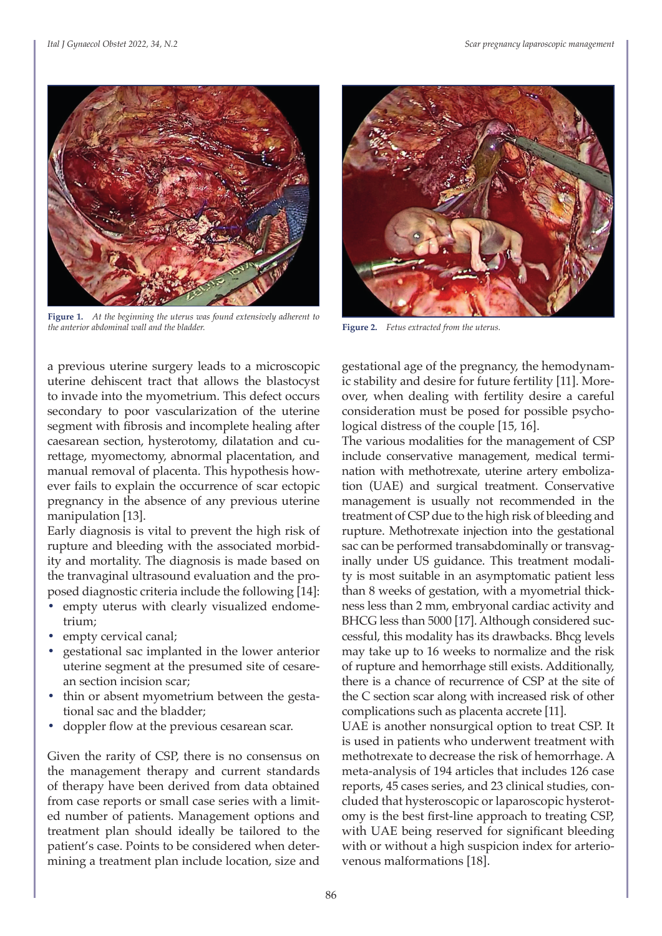

**Figure 1.** *At the beginning the uterus was found extensively adherent to the anterior abdominal wall and the bladder.* **Figure 2.** *Fetus extracted from the uterus.*

a previous uterine surgery leads to a microscopic uterine dehiscent tract that allows the blastocyst to invade into the myometrium. This defect occurs secondary to poor vascularization of the uterine segment with fibrosis and incomplete healing after caesarean section, hysterotomy, dilatation and curettage, myomectomy, abnormal placentation, and manual removal of placenta. This hypothesis however fails to explain the occurrence of scar ectopic pregnancy in the absence of any previous uterine manipulation [13].

Early diagnosis is vital to prevent the high risk of rupture and bleeding with the associated morbidity and mortality. The diagnosis is made based on the tranvaginal ultrasound evaluation and the proposed diagnostic criteria include the following [14]:

- **•** empty uterus with clearly visualized endometrium;
- **•** empty cervical canal;
- **•** gestational sac implanted in the lower anterior uterine segment at the presumed site of cesarean section incision scar;
- **•** thin or absent myometrium between the gestational sac and the bladder;
- **•** doppler flow at the previous cesarean scar.

Given the rarity of CSP, there is no consensus on the management therapy and current standards of therapy have been derived from data obtained from case reports or small case series with a limited number of patients. Management options and treatment plan should ideally be tailored to the patient's case. Points to be considered when determining a treatment plan include location, size and



gestational age of the pregnancy, the hemodynamic stability and desire for future fertility [11]. Moreover, when dealing with fertility desire a careful consideration must be posed for possible psychological distress of the couple [15, 16].

The various modalities for the management of CSP include conservative management, medical termination with methotrexate, uterine artery embolization (UAE) and surgical treatment. Conservative management is usually not recommended in the treatment of CSP due to the high risk of bleeding and rupture. Methotrexate injection into the gestational sac can be performed transabdominally or transvaginally under US guidance. This treatment modality is most suitable in an asymptomatic patient less than 8 weeks of gestation, with a myometrial thickness less than 2 mm, embryonal cardiac activity and BHCG less than 5000 [17]. Although considered successful, this modality has its drawbacks. Bhcg levels may take up to 16 weeks to normalize and the risk of rupture and hemorrhage still exists. Additionally, there is a chance of recurrence of CSP at the site of the C section scar along with increased risk of other complications such as placenta accrete [11].

UAE is another nonsurgical option to treat CSP. It is used in patients who underwent treatment with methotrexate to decrease the risk of hemorrhage. A meta-analysis of 194 articles that includes 126 case reports, 45 cases series, and 23 clinical studies, concluded that hysteroscopic or laparoscopic hysterotomy is the best first-line approach to treating CSP, with UAE being reserved for significant bleeding with or without a high suspicion index for arteriovenous malformations [18].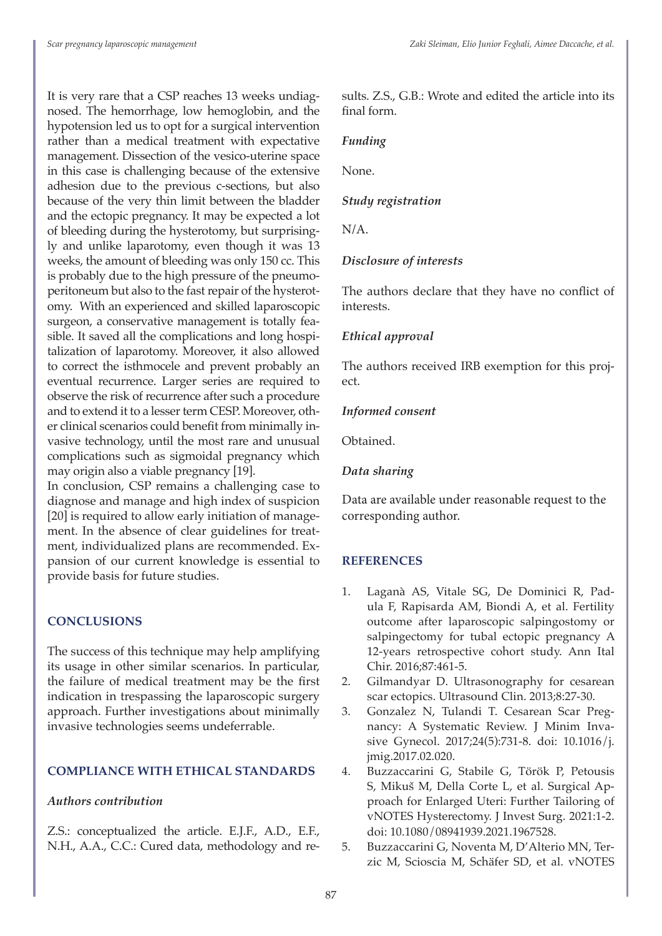It is very rare that a CSP reaches 13 weeks undiagnosed. The hemorrhage, low hemoglobin, and the hypotension led us to opt for a surgical intervention rather than a medical treatment with expectative management. Dissection of the vesico-uterine space in this case is challenging because of the extensive adhesion due to the previous c-sections, but also because of the very thin limit between the bladder and the ectopic pregnancy. It may be expected a lot of bleeding during the hysterotomy, but surprisingly and unlike laparotomy, even though it was 13 weeks, the amount of bleeding was only 150 cc. This is probably due to the high pressure of the pneumoperitoneum but also to the fast repair of the hysterotomy. With an experienced and skilled laparoscopic surgeon, a conservative management is totally feasible. It saved all the complications and long hospitalization of laparotomy. Moreover, it also allowed to correct the isthmocele and prevent probably an eventual recurrence. Larger series are required to observe the risk of recurrence after such a procedure and to extend it to a lesser term CESP. Moreover, other clinical scenarios could benefit from minimally invasive technology, until the most rare and unusual complications such as sigmoidal pregnancy which may origin also a viable pregnancy [19].

In conclusion, CSP remains a challenging case to diagnose and manage and high index of suspicion [20] is required to allow early initiation of management. In the absence of clear guidelines for treatment, individualized plans are recommended. Expansion of our current knowledge is essential to provide basis for future studies.

#### **CONCLUSIONS**

The success of this technique may help amplifying its usage in other similar scenarios. In particular, the failure of medical treatment may be the first indication in trespassing the laparoscopic surgery approach. Further investigations about minimally invasive technologies seems undeferrable.

#### **COMPLIANCE WITH ETHICAL STANDARDS**

#### *Authors contribution*

Z.S.: conceptualized the article. E.J.F., A.D., E.F., N.H., A.A., C.C.: Cured data, methodology and results. Z.S., G.B.: Wrote and edited the article into its final form.

#### *Funding*

None.

#### *Study registration*

N/A.

#### *Disclosure of interests*

The authors declare that they have no conflict of interests.

#### *Ethical approval*

The authors received IRB exemption for this project.

#### *Informed consent*

Obtained.

#### *Data sharing*

Data are available under reasonable request to the corresponding author.

#### **REFERENCES**

- 1. Laganà AS, Vitale SG, De Dominici R, Padula F, Rapisarda AM, Biondi A, et al. Fertility outcome after laparoscopic salpingostomy or salpingectomy for tubal ectopic pregnancy A 12-years retrospective cohort study. Ann Ital Chir. 2016;87:461-5.
- 2. Gilmandyar D. Ultrasonography for cesarean scar ectopics. Ultrasound Clin. 2013;8:27-30.
- 3. Gonzalez N, Tulandi T. Cesarean Scar Pregnancy: A Systematic Review. J Minim Invasive Gynecol. 2017;24(5):731-8. doi: 10.1016/j. jmig.2017.02.020.
- 4. Buzzaccarini G, Stabile G, Török P, Petousis S, Mikuš M, Della Corte L, et al. Surgical Approach for Enlarged Uteri: Further Tailoring of vNOTES Hysterectomy. J Invest Surg. 2021:1-2. doi: 10.1080/08941939.2021.1967528.
- 5. Buzzaccarini G, Noventa M, D'Alterio MN, Terzic M, Scioscia M, Schäfer SD, et al. vNOTES